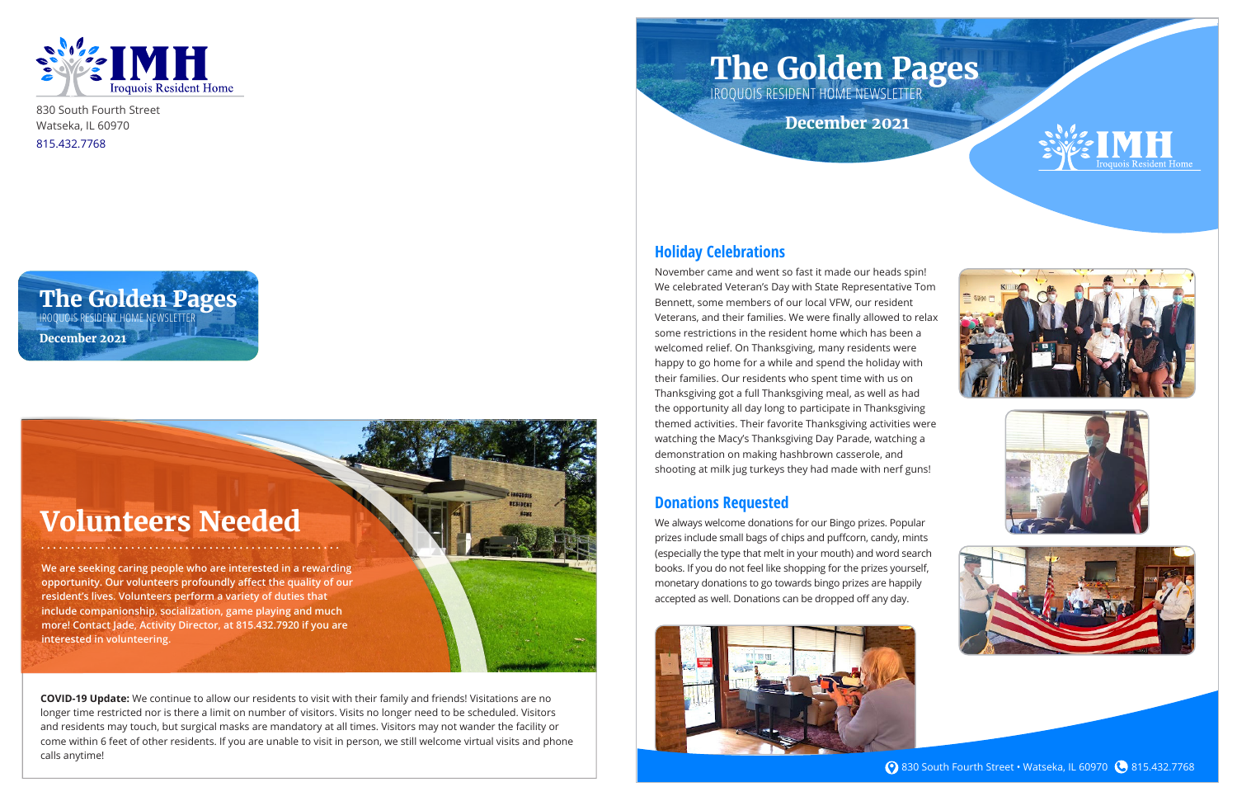

830 South Fourth Street Watseka, IL 60970 815.432.7768

### **Holiday Celebrations**

November came and went so fast it made our heads spin! We celebrated Veteran's Day with State Representative Tom Bennett, some members of our local VFW, our resident Veterans, and their families. We were finally allowed to relax some restrictions in the resident home which has been a welcomed relief. On Thanksgiving, many residents were happy to go home for a while and spend the holiday with their families. Our residents who spent time with us on Thanksgiving got a full Thanksgiving meal, as well as had the opportunity all day long to participate in Thanksgiving themed activities. Their favorite Thanksgiving activities were watching the Macy's Thanksgiving Day Parade, watching a demonstration on making hashbrown casserole, and shooting at milk jug turkeys they had made with nerf guns!

#### **Donations Requested**

We always welcome donations for our Bingo prizes. Popular prizes include small bags of chips and puffcorn, candy, mints (especially the type that melt in your mouth) and word search books. If you do not feel like shopping for the prizes yourself, monetary donations to go towards bingo prizes are happily accepted as well. Donations can be dropped off any day.











**830 South Fourth Street • Watseka, IL 60970 & 815.432.7768** 

### **The Golden Pages**

IROQUOIS RESIDENT HOME NEWSLETTER **December 2021**

# **The Golden Pages**

IROQUOIS RESIDENT HOME NEWSLETTER

**December 2021**

## **Volunteers Needed**

**We are seeking caring people who are interested in a rewarding opportunity. Our volunteers profoundly affect the quality of our resident's lives. Volunteers perform a variety of duties that include companionship, socialization, game playing and much more! Contact Jade, Activity Director, at 815.432.7920 if you are interested in volunteering.**

**COVID-19 Update:** We continue to allow our residents to visit with their family and friends! Visitations are no longer time restricted nor is there a limit on number of visitors. Visits no longer need to be scheduled. Visitors and residents may touch, but surgical masks are mandatory at all times. Visitors may not wander the facility or come within 6 feet of other residents. If you are unable to visit in person, we still welcome virtual visits and phone calls anytime!